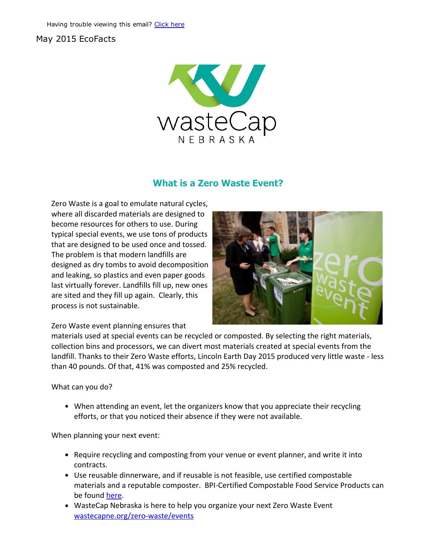## May 2015 EcoFacts



## What is a Zero Waste Event?

Zero Waste is a goal to emulate natural cycles, where all discarded materials are designed to become resources for others to use. During typical special events, we use tons of products that are designed to be used once and tossed. The problem is that modern landfills are designed as dry tombs to avoid decomposition and leaking, so plastics and even paper goods last virtually forever. Landfills fill up, new ones are sited and they fill up again. Clearly, this process is not sustainable.



Zero Waste event planning ensures that

materials used at special events can be recycled or composted. By selecting the right materials, collection bins and processors, we can divert most materials created at special events from the landfill. Thanks to their Zero Waste efforts, Lincoln Earth Day 2015 produced very little waste ‐ less than 40 pounds. Of that, 41% was composted and 25% recycled.

What can you do?

When attending an event, let the organizers know that you appreciate their recycling efforts, or that you noticed their absence if they were not available.

When planning your next event:

- Require recycling and composting from your venue or event planner, and write it into contracts.
- Use reusable dinnerware, and if reusable is not feasible, use certified compostable materials and a reputable composter. BPI‐Certified Compostable Food Service Products can be found [here](http://products.bpiworld.org/companies/category/foodservice).
- WasteCap Nebraska is here to help you organize your next Zero Waste Event wastecapne.org/zero-waste/events